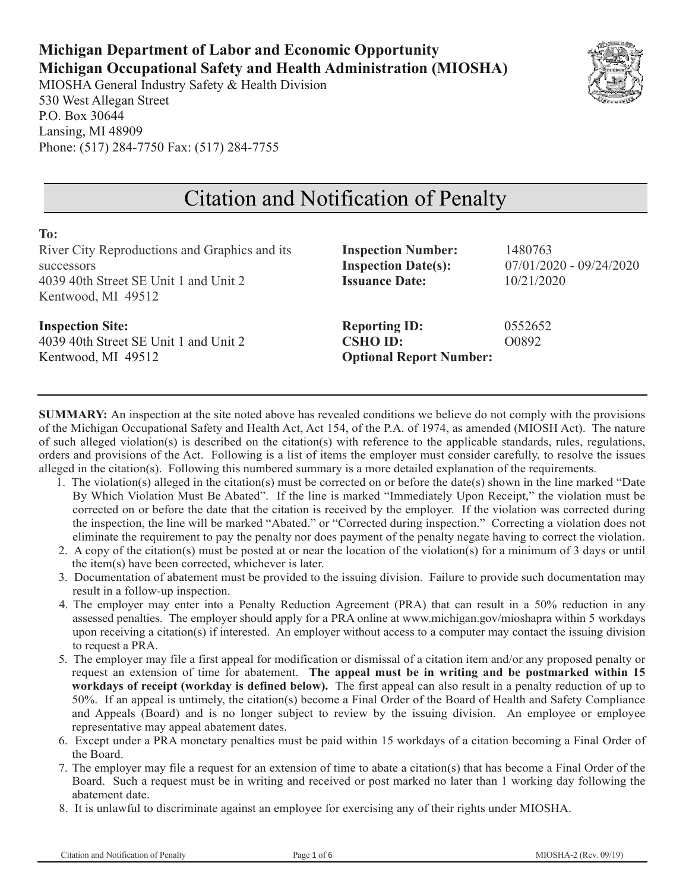## **Michigan Department of Labor and Economic Opportunity Michigan Occupational Safety and Health Administration (MIOSHA)**

MIOSHA General Industry Safety & Health Division 530 West Allegan Street P.O. Box 30644 Lansing, MI 48909 Phone: (517) 284-7750 Fax: (517) 284-7755



# Citation and Notification of Penalty

| To:<br>River City Reproductions and Graphics and its<br>successors<br>4039 40th Street SE Unit 1 and Unit 2<br>Kentwood, MI 49512 | <b>Inspection Number:</b><br><b>Inspection Date(s):</b><br><b>Issuance Date:</b> | 1480763<br>$07/01/2020 - 09/24/2020$<br>10/21/2020 |
|-----------------------------------------------------------------------------------------------------------------------------------|----------------------------------------------------------------------------------|----------------------------------------------------|
| <b>Inspection Site:</b><br>4039 40th Street SE Unit 1 and Unit 2<br>Kentwood, MI 49512                                            | <b>Reporting ID:</b><br><b>CSHO ID:</b><br><b>Optional Report Number:</b>        | 0552652<br>O0892                                   |

**SUMMARY:** An inspection at the site noted above has revealed conditions we believe do not comply with the provisions of the Michigan Occupational Safety and Health Act, Act 154, of the P.A. of 1974, as amended (MIOSH Act). The nature of such alleged violation(s) is described on the citation(s) with reference to the applicable standards, rules, regulations, orders and provisions of the Act. Following is a list of items the employer must consider carefully, to resolve the issues alleged in the citation(s). Following this numbered summary is a more detailed explanation of the requirements.

- 1. The violation(s) alleged in the citation(s) must be corrected on or before the date(s) shown in the line marked "Date By Which Violation Must Be Abated". If the line is marked "Immediately Upon Receipt," the violation must be corrected on or before the date that the citation is received by the employer. If the violation was corrected during the inspection, the line will be marked "Abated." or "Corrected during inspection." Correcting a violation does not eliminate the requirement to pay the penalty nor does payment of the penalty negate having to correct the violation.
- 2. A copy of the citation(s) must be posted at or near the location of the violation(s) for a minimum of 3 days or until the item(s) have been corrected, whichever is later.
- 3. Documentation of abatement must be provided to the issuing division. Failure to provide such documentation may result in a follow-up inspection.
- 4. The employer may enter into a Penalty Reduction Agreement (PRA) that can result in a 50% reduction in any assessed penalties. The employer should apply for a PRA online at www.michigan.gov/mioshapra within 5 workdays upon receiving a citation(s) if interested. An employer without access to a computer may contact the issuing division to request a PRA.
- 5. The employer may file a first appeal for modification or dismissal of a citation item and/or any proposed penalty or request an extension of time for abatement. **The appeal must be in writing and be postmarked within 15 workdays of receipt (workday is defined below).** The first appeal can also result in a penalty reduction of up to 50%. If an appeal is untimely, the citation(s) become a Final Order of the Board of Health and Safety Compliance and Appeals (Board) and is no longer subject to review by the issuing division. An employee or employee representative may appeal abatement dates.
- 6. Except under a PRA monetary penalties must be paid within 15 workdays of a citation becoming a Final Order of the Board.
- 7. The employer may file a request for an extension of time to abate a citation(s) that has become a Final Order of the Board. Such a request must be in writing and received or post marked no later than 1 working day following the abatement date.
- 8. It is unlawful to discriminate against an employee for exercising any of their rights under MIOSHA.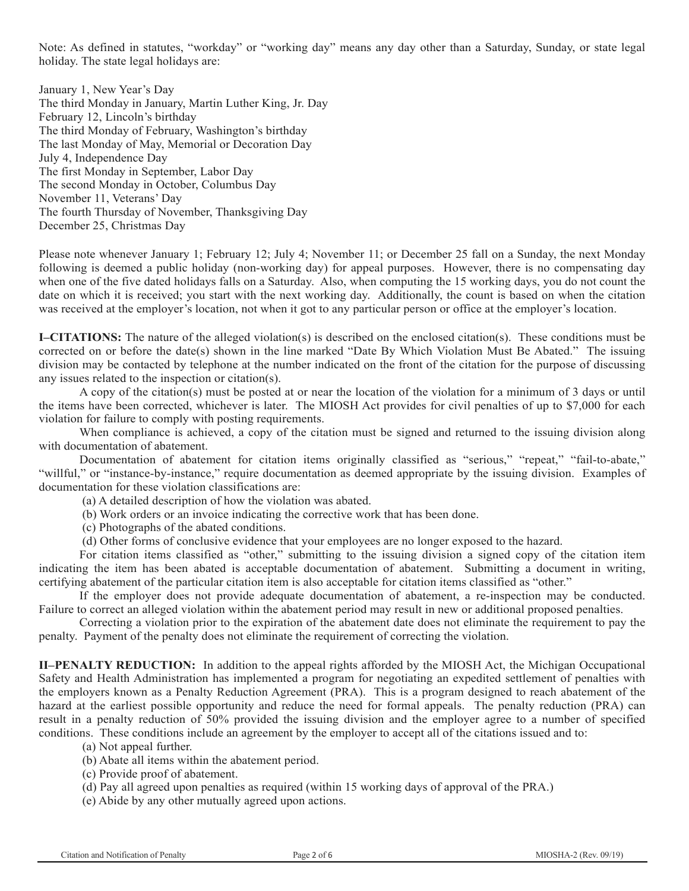Note: As defined in statutes, "workday" or "working day" means any day other than a Saturday, Sunday, or state legal holiday. The state legal holidays are:

January 1, New Year's Day The third Monday in January, Martin Luther King, Jr. Day February 12, Lincoln's birthday The third Monday of February, Washington's birthday The last Monday of May, Memorial or Decoration Day July 4, Independence Day The first Monday in September, Labor Day The second Monday in October, Columbus Day November 11, Veterans' Day The fourth Thursday of November, Thanksgiving Day December 25, Christmas Day

Please note whenever January 1; February 12; July 4; November 11; or December 25 fall on a Sunday, the next Monday following is deemed a public holiday (non-working day) for appeal purposes. However, there is no compensating day when one of the five dated holidays falls on a Saturday. Also, when computing the 15 working days, you do not count the date on which it is received; you start with the next working day. Additionally, the count is based on when the citation was received at the employer's location, not when it got to any particular person or office at the employer's location.

**I–CITATIONS:** The nature of the alleged violation(s) is described on the enclosed citation(s). These conditions must be corrected on or before the date(s) shown in the line marked "Date By Which Violation Must Be Abated." The issuing division may be contacted by telephone at the number indicated on the front of the citation for the purpose of discussing any issues related to the inspection or citation(s).

A copy of the citation(s) must be posted at or near the location of the violation for a minimum of 3 days or until the items have been corrected, whichever is later. The MIOSH Act provides for civil penalties of up to \$7,000 for each violation for failure to comply with posting requirements.

When compliance is achieved, a copy of the citation must be signed and returned to the issuing division along with documentation of abatement.

Documentation of abatement for citation items originally classified as "serious," "repeat," "fail-to-abate," "willful," or "instance-by-instance," require documentation as deemed appropriate by the issuing division. Examples of documentation for these violation classifications are:

(a) A detailed description of how the violation was abated.

(b) Work orders or an invoice indicating the corrective work that has been done.

(c) Photographs of the abated conditions.

(d) Other forms of conclusive evidence that your employees are no longer exposed to the hazard.

For citation items classified as "other," submitting to the issuing division a signed copy of the citation item indicating the item has been abated is acceptable documentation of abatement. Submitting a document in writing, certifying abatement of the particular citation item is also acceptable for citation items classified as "other."

If the employer does not provide adequate documentation of abatement, a re-inspection may be conducted. Failure to correct an alleged violation within the abatement period may result in new or additional proposed penalties.

Correcting a violation prior to the expiration of the abatement date does not eliminate the requirement to pay the penalty. Payment of the penalty does not eliminate the requirement of correcting the violation.

**II–PENALTY REDUCTION:** In addition to the appeal rights afforded by the MIOSH Act, the Michigan Occupational Safety and Health Administration has implemented a program for negotiating an expedited settlement of penalties with the employers known as a Penalty Reduction Agreement (PRA). This is a program designed to reach abatement of the hazard at the earliest possible opportunity and reduce the need for formal appeals. The penalty reduction (PRA) can result in a penalty reduction of 50% provided the issuing division and the employer agree to a number of specified conditions. These conditions include an agreement by the employer to accept all of the citations issued and to:

(a) Not appeal further.

(b) Abate all items within the abatement period.

- (c) Provide proof of abatement.
- (d) Pay all agreed upon penalties as required (within 15 working days of approval of the PRA.)
- (e) Abide by any other mutually agreed upon actions.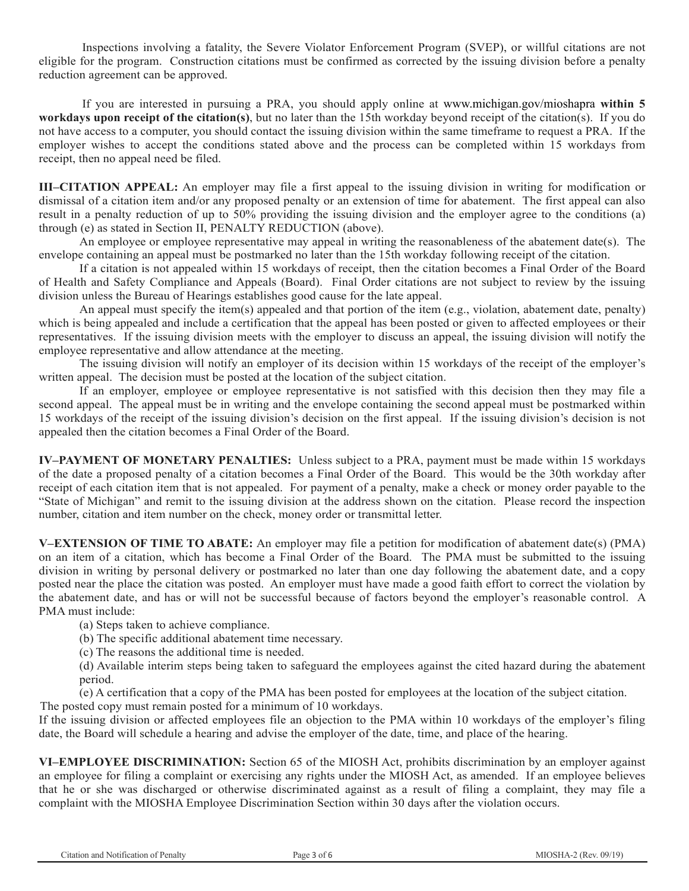Inspections involving a fatality, the Severe Violator Enforcement Program (SVEP), or willful citations are not eligible for the program. Construction citations must be confirmed as corrected by the issuing division before a penalty reduction agreement can be approved.

If you are interested in pursuing a PRA, you should apply online at www.michigan.gov/mioshapra **within 5 workdays upon receipt of the citation(s)**, but no later than the 15th workday beyond receipt of the citation(s). If you do not have access to a computer, you should contact the issuing division within the same timeframe to request a PRA. If the employer wishes to accept the conditions stated above and the process can be completed within 15 workdays from receipt, then no appeal need be filed.

**III–CITATION APPEAL:** An employer may file a first appeal to the issuing division in writing for modification or dismissal of a citation item and/or any proposed penalty or an extension of time for abatement. The first appeal can also result in a penalty reduction of up to 50% providing the issuing division and the employer agree to the conditions (a) through (e) as stated in Section II, PENALTY REDUCTION (above).

An employee or employee representative may appeal in writing the reasonableness of the abatement date(s). The envelope containing an appeal must be postmarked no later than the 15th workday following receipt of the citation.

If a citation is not appealed within 15 workdays of receipt, then the citation becomes a Final Order of the Board of Health and Safety Compliance and Appeals (Board). Final Order citations are not subject to review by the issuing division unless the Bureau of Hearings establishes good cause for the late appeal.

An appeal must specify the item(s) appealed and that portion of the item (e.g., violation, abatement date, penalty) which is being appealed and include a certification that the appeal has been posted or given to affected employees or their representatives. If the issuing division meets with the employer to discuss an appeal, the issuing division will notify the employee representative and allow attendance at the meeting.

The issuing division will notify an employer of its decision within 15 workdays of the receipt of the employer's written appeal. The decision must be posted at the location of the subject citation.

If an employer, employee or employee representative is not satisfied with this decision then they may file a second appeal. The appeal must be in writing and the envelope containing the second appeal must be postmarked within 15 workdays of the receipt of the issuing division's decision on the first appeal. If the issuing division's decision is not appealed then the citation becomes a Final Order of the Board.

**IV–PAYMENT OF MONETARY PENALTIES:** Unless subject to a PRA, payment must be made within 15 workdays of the date a proposed penalty of a citation becomes a Final Order of the Board. This would be the 30th workday after receipt of each citation item that is not appealed. For payment of a penalty, make a check or money order payable to the "State of Michigan" and remit to the issuing division at the address shown on the citation. Please record the inspection number, citation and item number on the check, money order or transmittal letter.

**V–EXTENSION OF TIME TO ABATE:** An employer may file a petition for modification of abatement date(s) (PMA) on an item of a citation, which has become a Final Order of the Board. The PMA must be submitted to the issuing division in writing by personal delivery or postmarked no later than one day following the abatement date, and a copy posted near the place the citation was posted. An employer must have made a good faith effort to correct the violation by the abatement date, and has or will not be successful because of factors beyond the employer's reasonable control. A PMA must include:

(a) Steps taken to achieve compliance.

(b) The specific additional abatement time necessary.

(c) The reasons the additional time is needed.

(d) Available interim steps being taken to safeguard the employees against the cited hazard during the abatement period.

(e) A certification that a copy of the PMA has been posted for employees at the location of the subject citation. The posted copy must remain posted for a minimum of 10 workdays.

If the issuing division or affected employees file an objection to the PMA within 10 workdays of the employer's filing date, the Board will schedule a hearing and advise the employer of the date, time, and place of the hearing.

**VI–EMPLOYEE DISCRIMINATION:** Section 65 of the MIOSH Act, prohibits discrimination by an employer against an employee for filing a complaint or exercising any rights under the MIOSH Act, as amended. If an employee believes that he or she was discharged or otherwise discriminated against as a result of filing a complaint, they may file a complaint with the MIOSHA Employee Discrimination Section within 30 days after the violation occurs.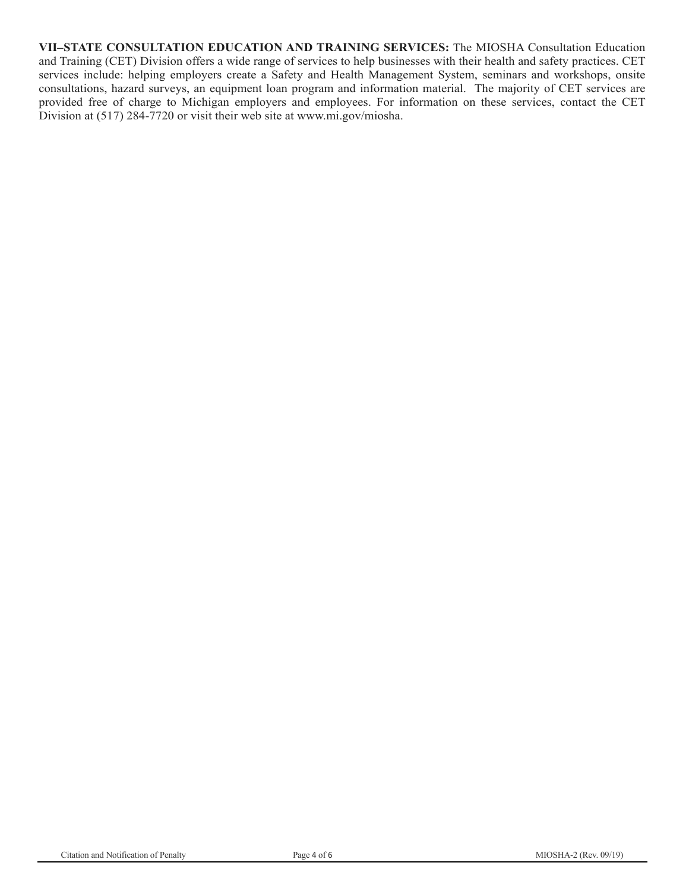**VII–STATE CONSULTATION EDUCATION AND TRAINING SERVICES:** The MIOSHA Consultation Education and Training (CET) Division offers a wide range of services to help businesses with their health and safety practices. CET services include: helping employers create a Safety and Health Management System, seminars and workshops, onsite consultations, hazard surveys, an equipment loan program and information material. The majority of CET services are provided free of charge to Michigan employers and employees. For information on these services, contact the CET Division at (517) 284-7720 or visit their web site at www.mi.gov/miosha.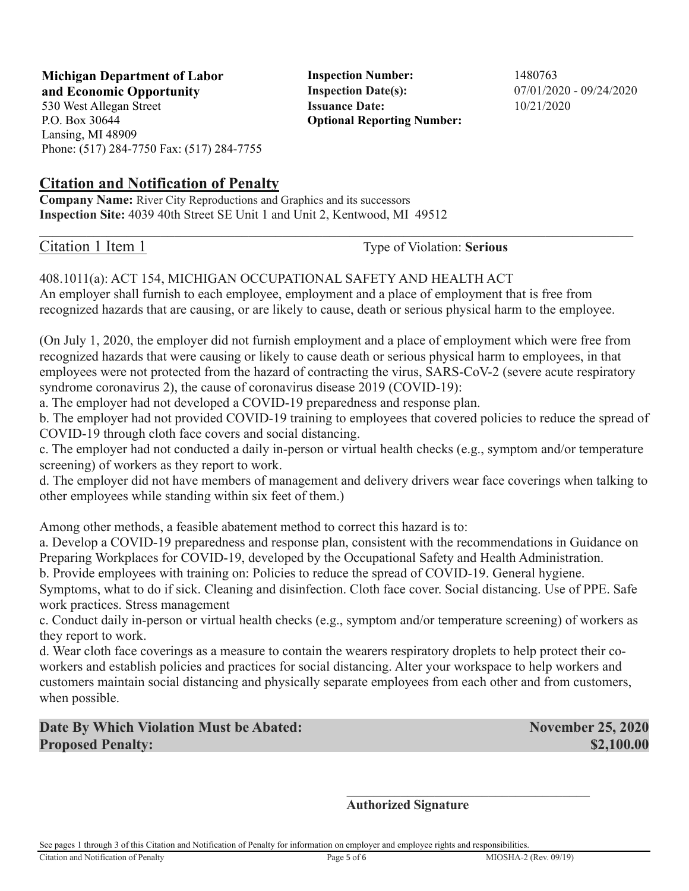**Michigan Department of Labor** Inspection Number: 1480763 **and Economic Opportunity Inspection Date(s):** 07/01/2020 - 09/24/2020 530 West Allegan Street **Issuance Date:** 10/21/2020

P.O. Box 30644 Lansing, MI 48909 Phone: (517) 284-7750 Fax: (517) 284-7755

### **Citation and Notification of Penalty**

**Company Name:** River City Reproductions and Graphics and its successors **Inspection Site:** 4039 40th Street SE Unit 1 and Unit 2, Kentwood, MI 49512

Citation 1 Item 1 Type of Violation: **Serious** 

**Optional Reporting Number:** 

### 408.1011(a): ACT 154, MICHIGAN OCCUPATIONAL SAFETY AND HEALTH ACT

An employer shall furnish to each employee, employment and a place of employment that is free from recognized hazards that are causing, or are likely to cause, death or serious physical harm to the employee.

(On July 1, 2020, the employer did not furnish employment and a place of employment which were free from recognized hazards that were causing or likely to cause death or serious physical harm to employees, in that employees were not protected from the hazard of contracting the virus, SARS-CoV-2 (severe acute respiratory syndrome coronavirus 2), the cause of coronavirus disease 2019 (COVID-19):

a. The employer had not developed a COVID-19 preparedness and response plan.

b. The employer had not provided COVID-19 training to employees that covered policies to reduce the spread of COVID-19 through cloth face covers and social distancing.

c. The employer had not conducted a daily in-person or virtual health checks (e.g., symptom and/or temperature screening) of workers as they report to work.

d. The employer did not have members of management and delivery drivers wear face coverings when talking to other employees while standing within six feet of them.)

Among other methods, a feasible abatement method to correct this hazard is to:

a. Develop a COVID-19 preparedness and response plan, consistent with the recommendations in Guidance on Preparing Workplaces for COVID-19, developed by the Occupational Safety and Health Administration.

b. Provide employees with training on: Policies to reduce the spread of COVID-19. General hygiene. Symptoms, what to do if sick. Cleaning and disinfection. Cloth face cover. Social distancing. Use of PPE. Safe work practices. Stress management

c. Conduct daily in-person or virtual health checks (e.g., symptom and/or temperature screening) of workers as they report to work.

d. Wear cloth face coverings as a measure to contain the wearers respiratory droplets to help protect their coworkers and establish policies and practices for social distancing. Alter your workspace to help workers and customers maintain social distancing and physically separate employees from each other and from customers, when possible.

**Date By Which Violation Must be Abated:** November 25, 2020 **Proposed Penalty:**  $$2,100.00$ 

 $\mathcal{L}_\mathcal{L}$  , which is a set of the set of the set of the set of the set of the set of the set of the set of the set of the set of the set of the set of the set of the set of the set of the set of the set of the set of **Authorized Signature**